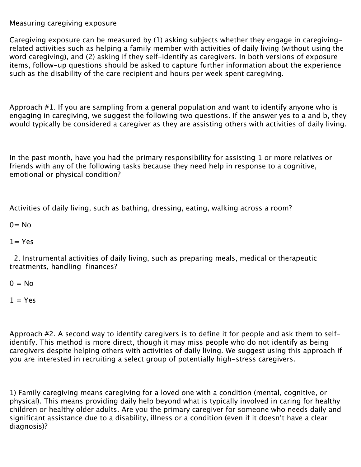## Measuring caregiving exposure

Caregiving exposure can be measured by (1) asking subjects whether they engage in caregivingrelated activities such as helping a family member with activities of daily living (without using the word caregiving), and (2) asking if they self-identify as caregivers. In both versions of exposure items, follow-up questions should be asked to capture further information about the experience such as the disability of the care recipient and hours per week spent caregiving.

Approach #1. If you are sampling from a general population and want to identify anyone who is engaging in caregiving, we suggest the following two questions. If the answer yes to a and b, they would typically be considered a caregiver as they are assisting others with activities of daily living.

In the past month, have you had the primary responsibility for assisting 1 or more relatives or friends with any of the following tasks because they need help in response to a cognitive, emotional or physical condition?

Activities of daily living, such as bathing, dressing, eating, walking across a room?

 $0 = No$ 

## $1 = Yes$

 2. Instrumental activities of daily living, such as preparing meals, medical or therapeutic treatments, handling finances?

 $0 = No$ 

## $1 = Yes$

Approach #2. A second way to identify caregivers is to define it for people and ask them to selfidentify. This method is more direct, though it may miss people who do not identify as being caregivers despite helping others with activities of daily living. We suggest using this approach if you are interested in recruiting a select group of potentially high-stress caregivers.

1) Family caregiving means caregiving for a loved one with a condition (mental, cognitive, or physical). This means providing daily help beyond what is typically involved in caring for healthy children or healthy older adults. Are you the primary caregiver for someone who needs daily and significant assistance due to a disability, illness or a condition (even if it doesn't have a clear diagnosis)?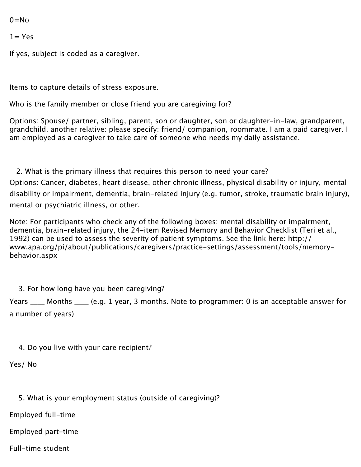$0 = No$ 

 $1 = Yes$ 

If yes, subject is coded as a caregiver.

Items to capture details of stress exposure.

Who is the family member or close friend you are caregiving for?

Options: Spouse/ partner, sibling, parent, son or daughter, son or daughter-in-law, grandparent, grandchild, another relative: please specify: friend/ companion, roommate. I am a paid caregiver. I am employed as a caregiver to take care of someone who needs my daily assistance.

2. What is the primary illness that requires this person to need your care? Options: Cancer, diabetes, heart disease, other chronic illness, physical disability or injury, mental disability or impairment, dementia, brain-related injury (e.g. tumor, stroke, traumatic brain injury), mental or psychiatric illness, or other.

Note: For participants who check any of the following boxes: mental disability or impairment, dementia, brain-related injury, the 24-item Revised Memory and Behavior Checklist (Teri et al., 1992) can be used to assess the severity of patient symptoms. [See the link here](http://www.apa.org/pi/about/publications/caregivers/practice-settings/assessment/tools/memory-behavior.aspx): http:// www.apa.org/pi/about/publications/caregivers/practice-settings/assessment/tools/memorybehavior.aspx

3. For how long have you been caregiving?

Years Months (e.g. 1 year, 3 months. Note to programmer: 0 is an acceptable answer for a number of years)

4. Do you live with your care recipient?

Yes/ No

5. What is your employment status (outside of caregiving)?

Employed full-time

Employed part-time

Full-time student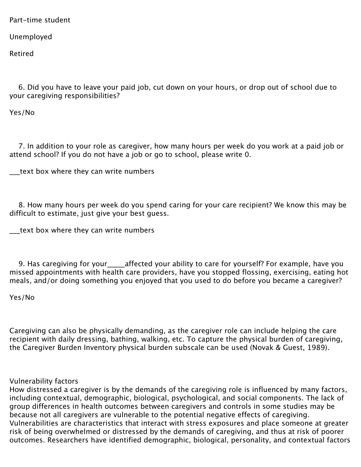Part-time student

Unemployed

Retired

 6. Did you have to leave your paid job, cut down on your hours, or drop out of school due to your caregiving responsibilities?

Yes/No

 7. In addition to your role as caregiver, how many hours per week do you work at a paid job or attend school? If you do not have a job or go to school, please write 0.

\_\_\_text box where they can write numbers

 8. How many hours per week do you spend caring for your care recipient? We know this may be difficult to estimate, just give your best guess.

\_\_\_text box where they can write numbers

 9. Has caregiving for your\_\_\_\_\_affected your ability to care for yourself? For example, have you missed appointments with health care providers, have you stopped flossing, exercising, eating hot meals, and/or doing something you enjoyed that you used to do before you became a caregiver?

Yes/No

Caregiving can also be physically demanding, as the caregiver role can include helping the care recipient with daily dressing, bathing, walking, etc. To capture the physical burden of caregiving, the Caregiver Burden Inventory physical burden subscale can be used (Novak & Guest, 1989).

Vulnerability factors

How distressed a caregiver is by the demands of the caregiving role is influenced by many factors, including contextual, demographic, biological, psychological, and social components. The lack of group differences in health outcomes between caregivers and controls in some studies may be because not all caregivers are vulnerable to the potential negative effects of caregiving. Vulnerabilities are characteristics that interact with stress exposures and place someone at greater risk of being overwhelmed or distressed by the demands of caregiving, and thus at risk of poorer outcomes. Researchers have identified demographic, biological, personality, and contextual factors